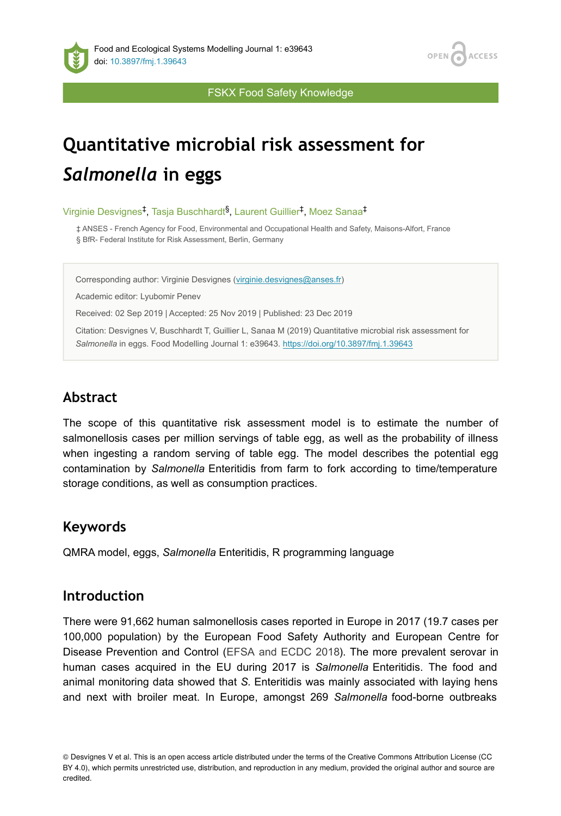

FSKX Food Safety Knowledge

# **Quantitative microbial risk assessment for**  *Salmonella* **in eggs**

Virginie Desvignes<sup>‡</sup>, Tasja Buschhardt<sup>§</sup>, Laurent Guillier<sup>‡</sup>, Moez Sanaa<sup>‡</sup>

‡ ANSES - French Agency for Food, Environmental and Occupational Health and Safety, Maisons-Alfort, France § BfR- Federal Institute for Risk Assessment, Berlin, Germany

Corresponding author: Virginie Desvignes ([virginie.desvignes@anses.fr](mailto:virginie.desvignes@anses.fr))

Academic editor: Lyubomir Penev

Received: 02 Sep 2019 | Accepted: 25 Nov 2019 | Published: 23 Dec 2019

Citation: Desvignes V, Buschhardt T, Guillier L, Sanaa M (2019) Quantitative microbial risk assessment for Salmonella in eggs. Food Modelling Journal 1: e39643. <https://doi.org/10.3897/fmj.1.39643>

# **Abstract**

The scope of this quantitative risk assessment model is to estimate the number of salmonellosis cases per million servings of table egg, as well as the probability of illness when ingesting a random serving of table egg. The model describes the potential egg contamination by *Salmonella* Enteritidis from farm to fork according to time/temperature storage conditions, as well as consumption practices.

## **Keywords**

QMRA model, eggs, *Salmonella* Enteritidis, R programming language

## **Introduction**

There were 91,662 human salmonellosis cases reported in Europe in 2017 (19.7 cases per 100,000 population) by the European Food Safety Authority and European Centre for Disease Prevention and Control ([EFSA and ECDC 2018\)](#page-23-0). The more prevalent serovar in human cases acquired in the EU during 2017 is *Salmonella* Enteritidis. The food and animal monitoring data showed that *S.* Enteritidis was mainly associated with laying hens and next with broiler meat. In Europe, amongst 269 *Salmonella* food-borne outbreaks

<sup>©</sup> Desvignes V et al. This is an open access article distributed under the terms of the Creative Commons Attribution License (CC BY 4.0), which permits unrestricted use, distribution, and reproduction in any medium, provided the original author and source are credited.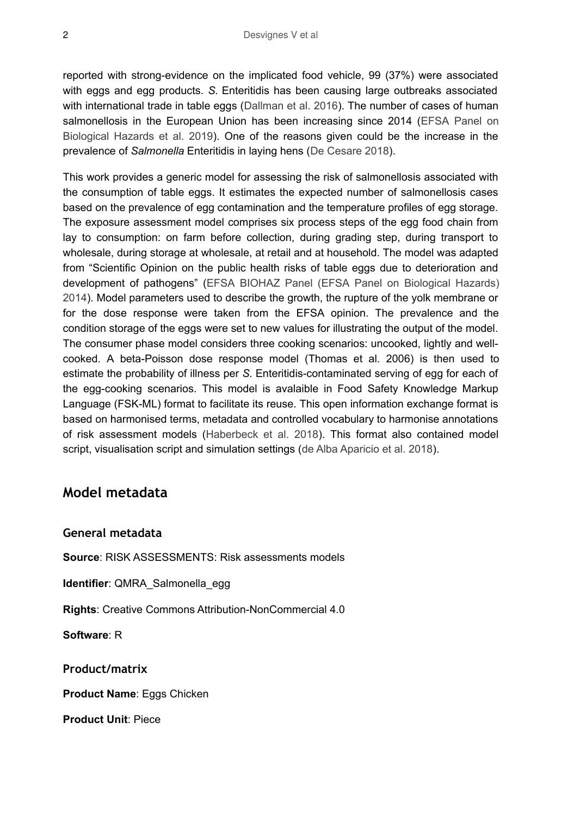reported with strong-evidence on the implicated food vehicle, 99 (37%) were associated with eggs and egg products. *S.* Enteritidis has been causing large outbreaks associated with international trade in table eggs [\(Dallman et al. 2016\)](#page-22-0). The number of cases of human salmonellosis in the European Union has been increasing since 2014 ([EFSA Panel on](#page-23-1) [Biological Hazards et al. 2019\)](#page-23-1). One of the reasons given could be the increase in the prevalence of *Salmonella* Enteritidis in laying hens ([De Cesare 2018](#page-23-2)).

This work provides a generic model for assessing the risk of salmonellosis associated with the consumption of table eggs. It estimates the expected number of salmonellosis cases based on the prevalence of egg contamination and the temperature profiles of egg storage. The exposure assessment model comprises six process steps of the egg food chain from lay to consumption: on farm before collection, during grading step, during transport to wholesale, during storage at wholesale, at retail and at household. The model was adapted from "Scientific Opinion on the public health risks of table eggs due to deterioration and development of pathogens" [\(EFSA BIOHAZ Panel \(EFSA Panel on Biological Hazards\)](#page-23-3) [2014](#page-23-3)). Model parameters used to describe the growth, the rupture of the yolk membrane or for the dose response were taken from the EFSA opinion. The prevalence and the condition storage of the eggs were set to new values for illustrating the output of the model. The consumer phase model considers three cooking scenarios: uncooked, lightly and wellcooked. A beta-Poisson dose response model (Thomas et al. 2006) is then used to estimate the probability of illness per *S.* Enteritidis-contaminated serving of egg for each of the egg-cooking scenarios. This model is avalaible in Food Safety Knowledge Markup Language (FSK-ML) format to facilitate its reuse. This open information exchange format is based on harmonised terms, metadata and controlled vocabulary to harmonise annotations of risk assessment models ([Haberbeck et al. 2018](#page-23-4)). This format also contained model script, visualisation script and simulation settings ([de Alba Aparicio et al. 2018\)](#page-23-5).

# **Model metadata**

### **General metadata**

**Source**: RISK ASSESSMENTS: Risk assessments models

**Identifier**: QMRA\_Salmonella\_egg

**Rights**: Creative Commons Attribution-NonCommercial 4.0

**Software**: R

**Product/matrix**

**Product Name**: Eggs Chicken

**Product Unit**: Piece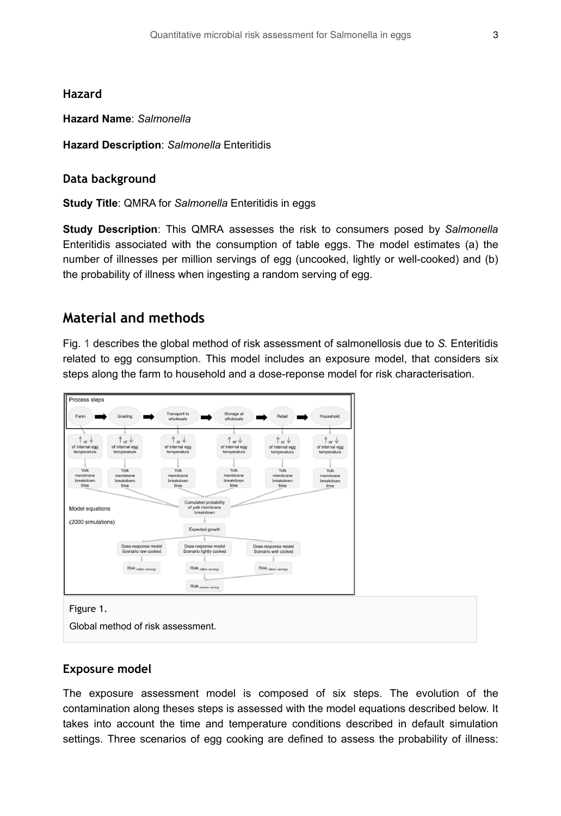#### **Hazard**

#### **Hazard Name**: *Salmonella*

**Hazard Description**: *Salmonella* Enteritidis

#### **Data background**

**Study Title**: QMRA for *Salmonella* Enteritidis in eggs

**Study Description**: This QMRA assesses the risk to consumers posed by *Salmonella* Enteritidis associated with the consumption of table eggs. The model estimates (a) the number of illnesses per million servings of egg (uncooked, lightly or well-cooked) and (b) the probability of illness when ingesting a random serving of egg.

## **Material and methods**

Fig. [1](#page-2-0) describes the global method of risk assessment of salmonellosis due to *S.* Enteritidis related to egg consumption. This model includes an exposure model, that considers six steps along the farm to household and a dose-reponse model for risk characterisation.

<span id="page-2-0"></span>

Figure 1.

Global method of risk assessment.

#### **Exposure model**

The exposure assessment model is composed of six steps. The evolution of the contamination along theses steps is assessed with the model equations described below. It takes into account the time and temperature conditions described in default simulation settings. Three scenarios of egg cooking are defined to assess the probability of illness: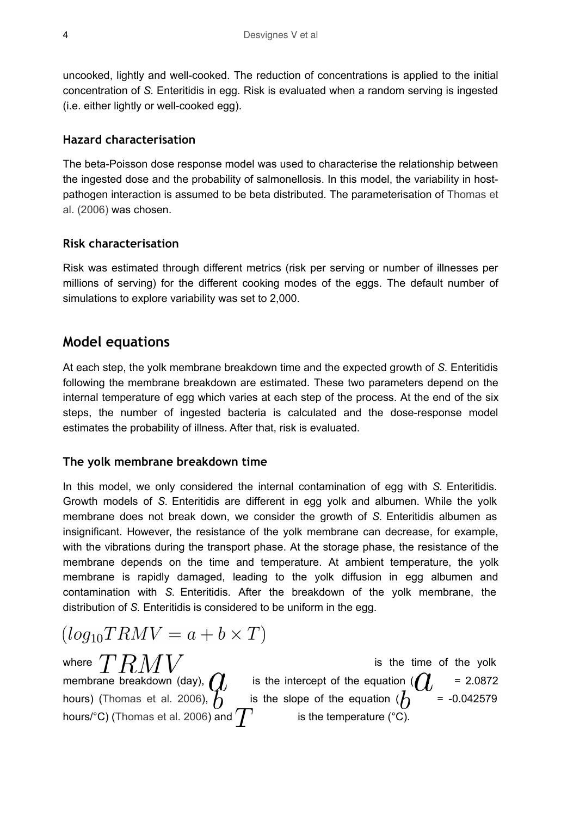uncooked, lightly and well-cooked. The reduction of concentrations is applied to the initial concentration of *S.* Enteritidis in egg. Risk is evaluated when a random serving is ingested (i.e. either lightly or well-cooked egg).

### **Hazard characterisation**

The beta-Poisson dose response model was used to characterise the relationship between the ingested dose and the probability of salmonellosis. In this model, the variability in hostpathogen interaction is assumed to be beta distributed. The parameterisation of [Thomas et](#page-23-6) [al. \(2006\)](#page-23-6) was chosen.

### **Risk characterisation**

Risk was estimated through different metrics (risk per serving or number of illnesses per millions of serving) for the different cooking modes of the eggs. The default number of simulations to explore variability was set to 2,000.

# **Model equations**

At each step, the yolk membrane breakdown time and the expected growth of *S.* Enteritidis following the membrane breakdown are estimated. These two parameters depend on the internal temperature of egg which varies at each step of the process. At the end of the six steps, the number of ingested bacteria is calculated and the dose-response model estimates the probability of illness. After that, risk is evaluated.

### **The yolk membrane breakdown time**

In this model, we only considered the internal contamination of egg with *S.* Enteritidis. Growth models of *S.* Enteritidis are different in egg yolk and albumen. While the yolk membrane does not break down, we consider the growth of *S.* Enteritidis albumen as insignificant. However, the resistance of the yolk membrane can decrease, for example, with the vibrations during the transport phase. At the storage phase, the resistance of the membrane depends on the time and temperature. At ambient temperature, the yolk membrane is rapidly damaged, leading to the yolk diffusion in egg albumen and contamination with *S.* Enteritidis. After the breakdown of the yolk membrane, the distribution of *S.* Enteritidis is considered to be uniform in the egg.

$$
(log_{10}TRMV = a + b \times T)
$$

where  $'I'H$   $M$   $V$   $\hspace{1cm}$  is the time of the yolk membrane breakdown (day),  $\int$  is the intercept of the equation ( $\int$  = 2.0872 hours) [\(Thomas et al. 2006](#page-23-6)),  $h$  is the slope of the equation ( $h$  = -0.042579 hours/°C) [\(Thomas et al. 2006](#page-23-6)) and  $T$  is the temperature (°C).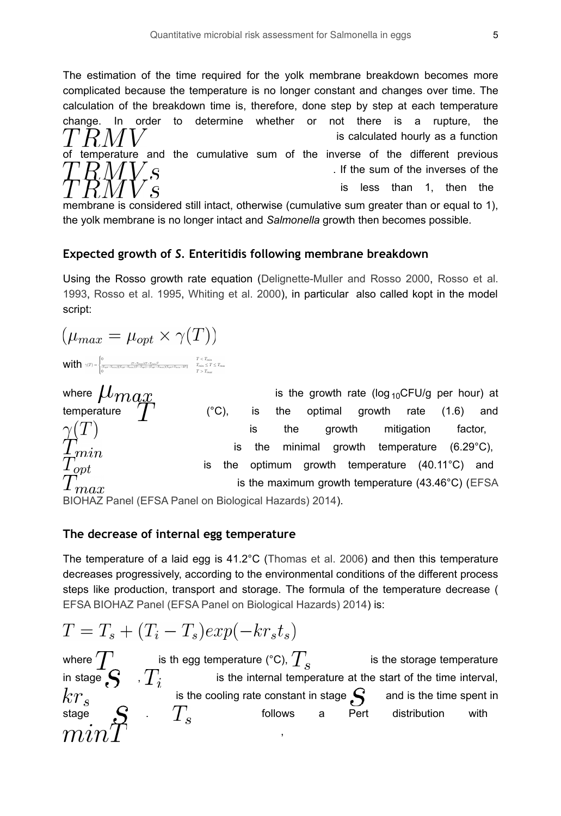The estimation of the time required for the yolk membrane breakdown becomes more complicated because the temperature is no longer constant and changes over time. The calculation of the breakdown time is, therefore, done step by step at each temperature change. In order to determine whether or not there is a rupture, the is calculated hourly as a function of temperature and the cumulative sum of the inverse of the different previous . If the sum of the inverses of the is less than 1, then the

membrane is considered still intact, otherwise (cumulative sum greater than or equal to 1), the yolk membrane is no longer intact and *Salmonella* growth then becomes possible.

### **Expected growth of** *S.* **Enteritidis following membrane breakdown**

Using the Rosso growth rate equation ([Delignette-Muller and Rosso 2000](#page-23-7), [Rosso et al.](#page-23-8) [1993](#page-23-8), [Rosso et al. 1995](#page-23-9), [Whiting et al. 2000](#page-23-10)), in particular also called kopt in the model script:

$$
(\mu_{max} = \mu_{opt} \times \gamma(T))
$$

$$
\textbf{Wilt} \hspace{-8pt} \hspace{-8pt} \pmb{\textbf{Witt}^T} \hspace{-8pt} \textbf{h} \hspace{-8pt} \textbf{h} \hspace{-8pt} \textbf{h} \hspace{-8pt} \textbf{h} \hspace{-8pt} \textbf{h} \hspace{-8pt} \textbf{h} \hspace{-8pt} \textbf{h} \hspace{-8pt} \textbf{h} \hspace{-8pt} \textbf{h} \hspace{-8pt} \textbf{h} \hspace{-8pt} \textbf{h} \hspace{-8pt} \textbf{h} \hspace{-8pt} \textbf{h} \hspace{-8pt} \textbf{h} \hspace{-8pt} \textbf{h} \hspace{-8pt} \textbf{h} \hspace{-8pt} \textbf{h} \hspace{-8pt} \textbf{h} \hspace{-8pt} \textbf{h} \hspace{-8pt} \textbf{h} \hspace{-8pt} \textbf{h} \hspace{-8pt} \textbf{h} \hspace{-8pt} \textbf{h} \hspace{-8pt} \textbf{h} \hspace{-8pt} \textbf{h} \hspace{-8pt} \textbf{h} \hspace{-8pt} \textbf{h} \hspace{-8pt} \textbf{h} \hspace{-8pt} \textbf{h} \hspace{-8pt} \textbf{h} \hspace{-8pt} \textbf{h} \hspace{-8pt} \textbf{h} \hspace{-8pt} \textbf{h} \hspace{-8pt} \textbf{h} \hspace{-8pt} \textbf{h} \hspace{-8pt} \textbf{h} \hspace{-8pt} \textbf{h} \hspace{-8pt} \textbf{h} \hspace{-8pt} \textbf{h} \hspace{-8pt} \textbf{h} \hspace{-8pt} \textbf{h} \hspace{-8pt} \textbf{h} \hspace{-8pt} \textbf{h} \hspace{-8pt} \textbf{h} \hspace{-8pt} \textbf{h} \hspace{-8pt} \textbf{h} \hspace{-8pt} \textbf{h} \hspace{-8pt} \textbf{h} \hspace{-8pt} \textbf{h} \hspace{-8pt} \textbf{h} \hspace{-8pt} \textbf{h} \hspace{-8pt} \textbf{h} \hspace{-8pt} \textbf{h} \hspace{-8pt} \textbf{h} \hspace{-8pt} \textbf{h} \hspace{-8pt} \textbf{
$$

where  $\mu_{max}$  is the growth rate (log<sub>10</sub>CFU/g per hour) at temperature  $\overline{T}$  (°C), is the optimal growth rate (1.6) and where  $\mu_{max}$  is the growth rate (log <sub>10</sub>CFU/g per hour) at is the growth mitigation factor, is the minimal growth temperature (6.29°C), is the optimum growth temperature (40.11°C) and is the maximum growth temperature (43.46°C) ([EFSA](#page-23-3)  $max$ 

[BIOHAZ Panel \(EFSA Panel on Biological Hazards\) 2014\)](#page-23-3).

### **The decrease of internal egg temperature**

The temperature of a laid egg is 41.2°C [\(Thomas et al. 2006](#page-23-6)) and then this temperature decreases progressively, according to the environmental conditions of the different process steps like production, transport and storage. The formula of the temperature decrease ( [EFSA BIOHAZ Panel \(EFSA Panel on Biological Hazards\) 2014](#page-23-3)) is:

$$
T = T_s + (T_i - T_s)exp(-kr_s t_s)
$$

where ' $\int'$  is th egg temperature (°C),  $\int'$  is the storage temperature in stage  $\mathbf{S}$ , if is the internal temperature at the start of the time interval, is the cooling rate constant in stage  $\sim$  and is the time spent in stage  $\left\{ \begin{matrix} 0 & 0 \end{matrix} \right\}$  follows a Pert distribution with ,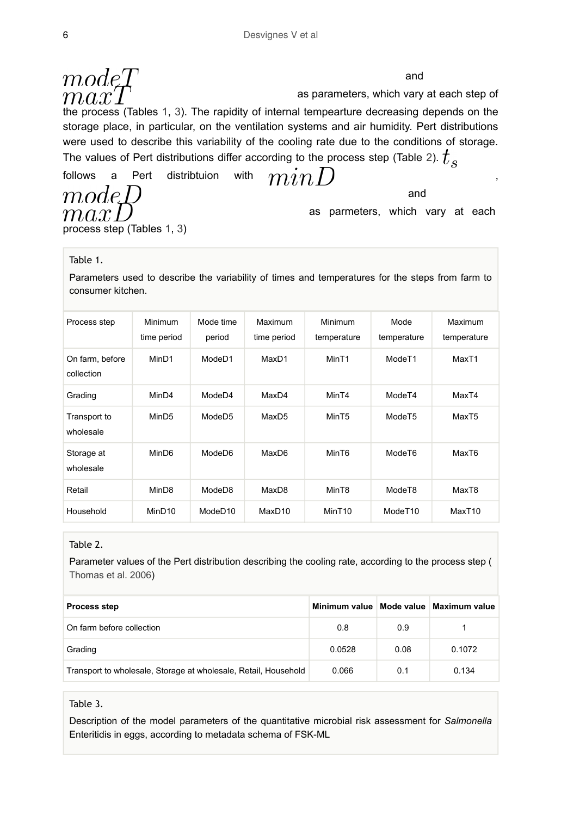$modeT$  and as parameters, which vary at each step of the process (Tables [1,](#page-5-0) [3\)](#page-5-1). The rapidity of internal tempearture decreasing depends on the storage place, in particular, on the ventilation systems and air humidity. Pert distributions were used to describe this variability of the cooling rate due to the conditions of storage. The values of Pert distributions differ according to the process step (Table [2](#page-5-2)).  $t_{\rm c}$ 

follows a Pert distribtuion with  $min$  (

 $modeD$  $max$ process step (Tables [1](#page-5-0), [3](#page-5-1))

as parmeters, which vary at each

and

#### <span id="page-5-0"></span>Table 1.

Parameters used to describe the variability of times and temperatures for the steps from farm to consumer kitchen.

| Process step                  | Minimum<br>time period | Mode time<br>period | Maximum<br>time period | Minimum<br>temperature | Mode<br>temperature | Maximum<br>temperature |
|-------------------------------|------------------------|---------------------|------------------------|------------------------|---------------------|------------------------|
| On farm, before<br>collection | MinD1                  | ModeD1              | MaxD1                  | MinT1                  | Mode <sub>T1</sub>  | MaxT1                  |
| Grading                       | MinD4                  | ModeD4              | MaxD4                  | MinT4                  | Mode <sub>T4</sub>  | MaxT4                  |
| Transport to<br>wholesale     | MinD <sub>5</sub>      | ModeD <sub>5</sub>  | MaxD <sub>5</sub>      | MinT <sub>5</sub>      | ModeT <sub>5</sub>  | MaxT5                  |
| Storage at<br>wholesale       | MinD6                  | ModeD6              | MaxD6                  | MinT6                  | ModeT6              | MaxT6                  |
| Retail                        | MinD <sub>8</sub>      | ModeD8              | MaxD8                  | MinT8                  | Mode <sub>T8</sub>  | MaxT8                  |
| Household                     | MinD <sub>10</sub>     | ModeD <sub>10</sub> | MaxD <sub>10</sub>     | MinT <sub>10</sub>     | ModeT <sub>10</sub> | MaxT10                 |

#### <span id="page-5-2"></span>Table 2.

Parameter values of the Pert distribution describing the cooling rate, according to the process step ( [Thomas et al. 2006](#page-23-6))

| <b>Process step</b>                                             |        |      | Minimum value   Mode value   Maximum value |
|-----------------------------------------------------------------|--------|------|--------------------------------------------|
| On farm before collection                                       | 0.8    | 0.9  |                                            |
| Grading                                                         | 0.0528 | 0.08 | 0.1072                                     |
| Transport to wholesale, Storage at wholesale, Retail, Household | 0.066  | 0.1  | 0.134                                      |

#### <span id="page-5-1"></span>Table 3.

Description of the model parameters of the quantitative microbial risk assessment for *Salmonella* Enteritidis in eggs, according to metadata schema of FSK-ML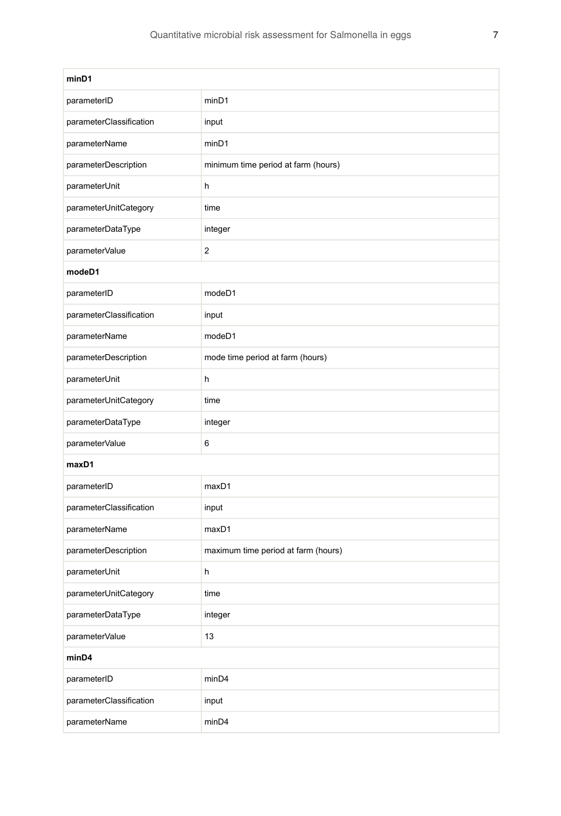| minD1                   |                                     |  |
|-------------------------|-------------------------------------|--|
| parameterID             | minD1                               |  |
| parameterClassification | input                               |  |
| parameterName           | minD1                               |  |
| parameterDescription    | minimum time period at farm (hours) |  |
| parameterUnit           | h                                   |  |
| parameterUnitCategory   | time                                |  |
| parameterDataType       | integer                             |  |
| parameterValue          | 2                                   |  |
| modeD1                  |                                     |  |
| parameterID             | modeD1                              |  |
| parameterClassification | input                               |  |
| parameterName           | modeD1                              |  |
| parameterDescription    | mode time period at farm (hours)    |  |
| parameterUnit           | h                                   |  |
| parameterUnitCategory   | time                                |  |
| parameterDataType       | integer                             |  |
| parameterValue          | 6                                   |  |
| maxD1                   |                                     |  |
| parameterID             | maxD1                               |  |
| parameterClassification | input                               |  |
| parameterName           | maxD1                               |  |
| parameterDescription    | maximum time period at farm (hours) |  |
| parameterUnit           | h                                   |  |
| parameterUnitCategory   | time                                |  |
| parameterDataType       | integer                             |  |
| parameterValue          | 13                                  |  |
| minD4                   |                                     |  |
| parameterID             | minD4                               |  |
| parameterClassification | input                               |  |
| parameterName           | minD4                               |  |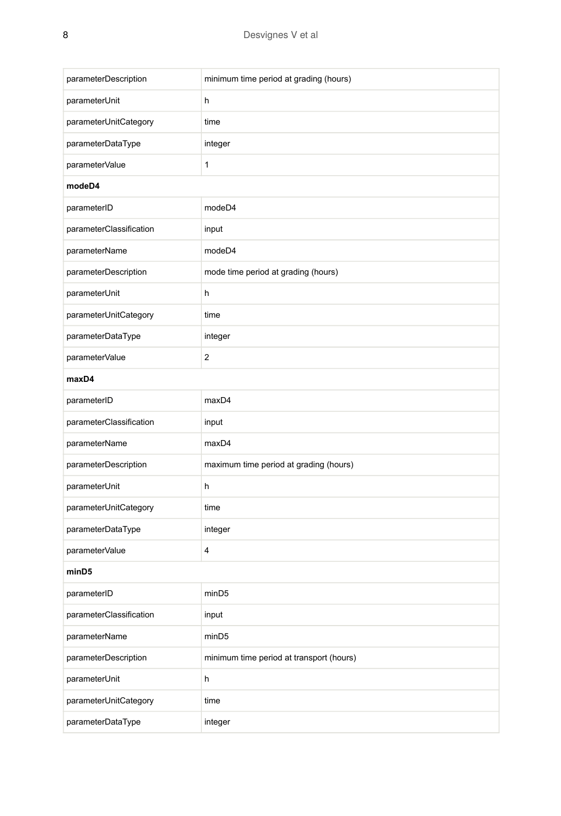| parameterDescription    | minimum time period at grading (hours)   |
|-------------------------|------------------------------------------|
| parameterUnit           | h                                        |
| parameterUnitCategory   | time                                     |
| parameterDataType       | integer                                  |
| parameterValue          | 1                                        |
| modeD4                  |                                          |
| parameterID             | modeD4                                   |
| parameterClassification | input                                    |
| parameterName           | modeD4                                   |
| parameterDescription    | mode time period at grading (hours)      |
| parameterUnit           | h                                        |
| parameterUnitCategory   | time                                     |
| parameterDataType       | integer                                  |
| parameterValue          | $\overline{c}$                           |
| maxD4                   |                                          |
| parameterID             | maxD4                                    |
| parameterClassification | input                                    |
| parameterName           | maxD4                                    |
| parameterDescription    | maximum time period at grading (hours)   |
| parameterUnit           | h                                        |
| parameterUnitCategory   | time                                     |
| parameterDataType       | integer                                  |
| parameterValue          | 4                                        |
| minD5                   |                                          |
| parameterID             | minD <sub>5</sub>                        |
| parameterClassification | input                                    |
| parameterName           | minD <sub>5</sub>                        |
| parameterDescription    | minimum time period at transport (hours) |
| parameterUnit           | h                                        |
| parameterUnitCategory   | time                                     |
| parameterDataType       | integer                                  |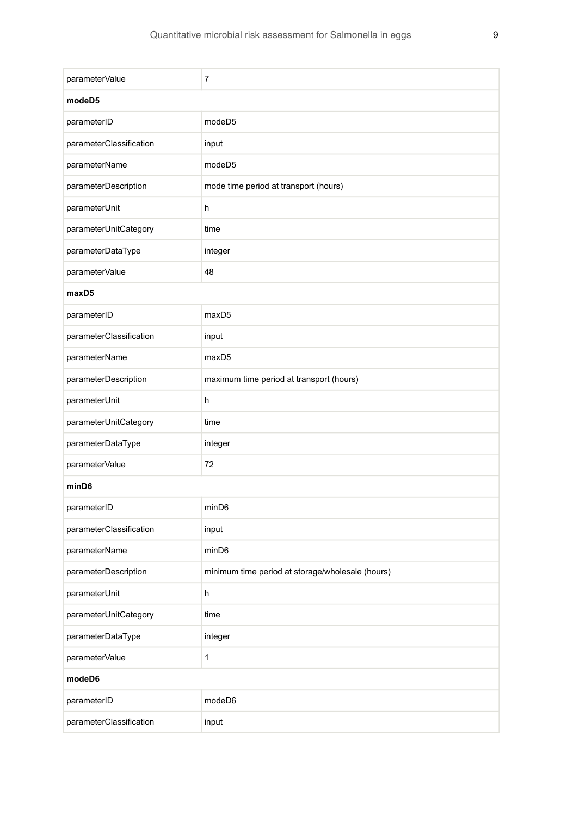| parameterValue          | 7                                                |
|-------------------------|--------------------------------------------------|
| modeD5                  |                                                  |
| parameterID             | modeD <sub>5</sub>                               |
| parameterClassification | input                                            |
| parameterName           | modeD5                                           |
| parameterDescription    | mode time period at transport (hours)            |
| parameterUnit           | h                                                |
| parameterUnitCategory   | time                                             |
| parameterDataType       | integer                                          |
| parameterValue          | 48                                               |
| maxD5                   |                                                  |
| parameterID             | maxD5                                            |
| parameterClassification | input                                            |
| parameterName           | maxD5                                            |
| parameterDescription    | maximum time period at transport (hours)         |
| parameterUnit           | h                                                |
| parameterUnitCategory   | time                                             |
| parameterDataType       | integer                                          |
| parameterValue          | 72                                               |
| minD6                   |                                                  |
| parameterID             | minD6                                            |
| parameterClassification | input                                            |
| parameterName           | minD6                                            |
| parameterDescription    | minimum time period at storage/wholesale (hours) |
| parameterUnit           | h                                                |
| parameterUnitCategory   | time                                             |
| parameterDataType       | integer                                          |
| parameterValue          | $\mathbf{1}$                                     |
| modeD6                  |                                                  |
| parameterID             | modeD6                                           |
| parameterClassification | input                                            |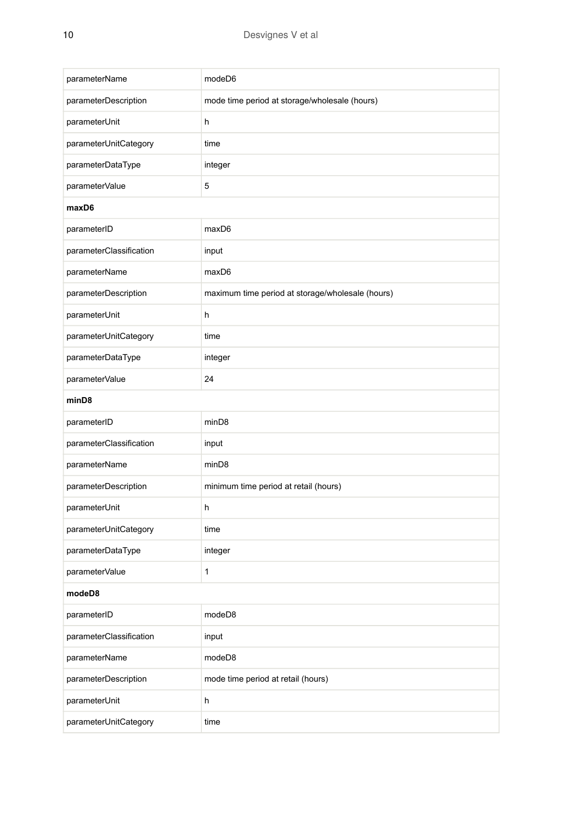| parameterName           | modeD6                                           |
|-------------------------|--------------------------------------------------|
| parameterDescription    | mode time period at storage/wholesale (hours)    |
| parameterUnit           | h                                                |
| parameterUnitCategory   | time                                             |
| parameterDataType       | integer                                          |
| parameterValue          | 5                                                |
| maxD6                   |                                                  |
| parameterID             | maxD6                                            |
| parameterClassification | input                                            |
| parameterName           | maxD6                                            |
| parameterDescription    | maximum time period at storage/wholesale (hours) |
| parameterUnit           | h                                                |
| parameterUnitCategory   | time                                             |
| parameterDataType       | integer                                          |
| parameterValue          | 24                                               |
| minD8                   |                                                  |
| parameterID             | minD8                                            |
| parameterClassification | input                                            |
| parameterName           | minD8                                            |
| parameterDescription    | minimum time period at retail (hours)            |
| parameterUnit           | h                                                |
| parameterUnitCategory   | time                                             |
| parameterDataType       | integer                                          |
| parameterValue          | 1                                                |
| modeD8                  |                                                  |
| parameterID             | modeD8                                           |
| parameterClassification | input                                            |
| parameterName           | modeD8                                           |
| parameterDescription    | mode time period at retail (hours)               |
| parameterUnit           | h                                                |
| parameterUnitCategory   | time                                             |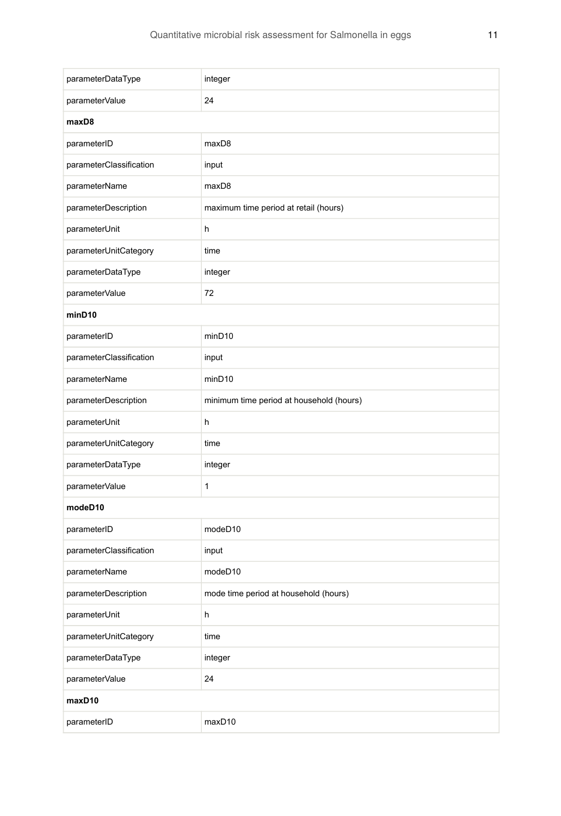| parameterDataType       | integer                                  |  |
|-------------------------|------------------------------------------|--|
| parameterValue          | 24                                       |  |
| maxD8                   |                                          |  |
| parameterID             | maxD8                                    |  |
| parameterClassification | input                                    |  |
| parameterName           | maxD8                                    |  |
| parameterDescription    | maximum time period at retail (hours)    |  |
| parameterUnit           | h                                        |  |
| parameterUnitCategory   | time                                     |  |
| parameterDataType       | integer                                  |  |
| parameterValue          | 72                                       |  |
| minD10                  |                                          |  |
| parameterID             | minD <sub>10</sub>                       |  |
| parameterClassification | input                                    |  |
| parameterName           | minD10                                   |  |
| parameterDescription    | minimum time period at household (hours) |  |
| parameterUnit           | h                                        |  |
| parameterUnitCategory   | time                                     |  |
| parameterDataType       | integer                                  |  |
| parameterValue          | 1                                        |  |
| modeD10                 |                                          |  |
| parameterID             | modeD10                                  |  |
| parameterClassification | input                                    |  |
| parameterName           | modeD10                                  |  |
| parameterDescription    | mode time period at household (hours)    |  |
| parameterUnit           | h                                        |  |
| parameterUnitCategory   | time                                     |  |
| parameterDataType       | integer                                  |  |
| parameterValue          | 24                                       |  |
| maxD10                  |                                          |  |
| parameterID             | maxD10                                   |  |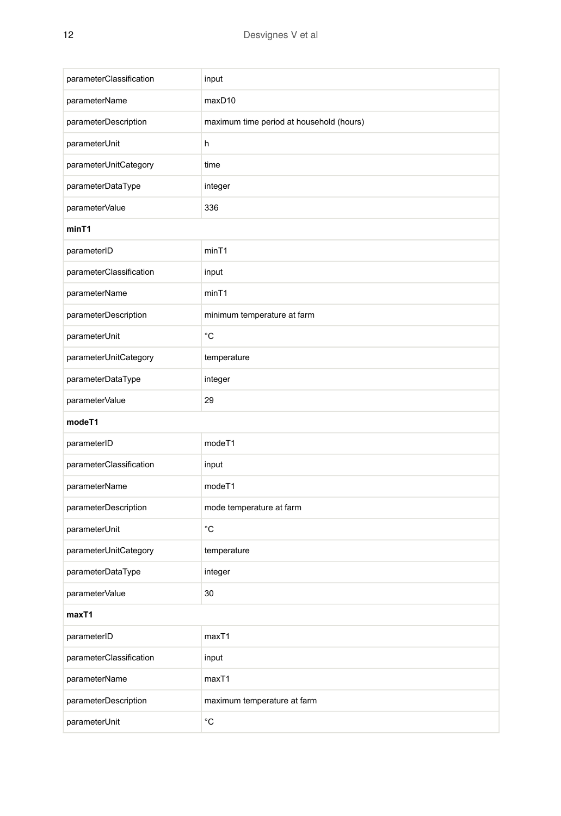| parameterClassification | input                                    |
|-------------------------|------------------------------------------|
| parameterName           | maxD10                                   |
| parameterDescription    | maximum time period at household (hours) |
| parameterUnit           | h                                        |
| parameterUnitCategory   | time                                     |
| parameterDataType       | integer                                  |
| parameterValue          | 336                                      |
| minT1                   |                                          |
| parameterID             | minT1                                    |
| parameterClassification | input                                    |
| parameterName           | minT1                                    |
| parameterDescription    | minimum temperature at farm              |
| parameterUnit           | $^{\circ}C$                              |
| parameterUnitCategory   | temperature                              |
| parameterDataType       | integer                                  |
| parameterValue          | 29                                       |
| modeT1                  |                                          |
| parameterID             | modeT1                                   |
| parameterClassification | input                                    |
| parameterName           | modeT1                                   |
| parameterDescription    | mode temperature at farm                 |
| parameterUnit           | $^{\circ}C$                              |
| parameterUnitCategory   | temperature                              |
| parameterDataType       | integer                                  |
| parameterValue          | 30                                       |
| maxT1                   |                                          |
| parameterID             | maxT1                                    |
| parameterClassification | input                                    |
| parameterName           | maxT1                                    |
| parameterDescription    | maximum temperature at farm              |
| parameterUnit           | $^{\circ}$ C                             |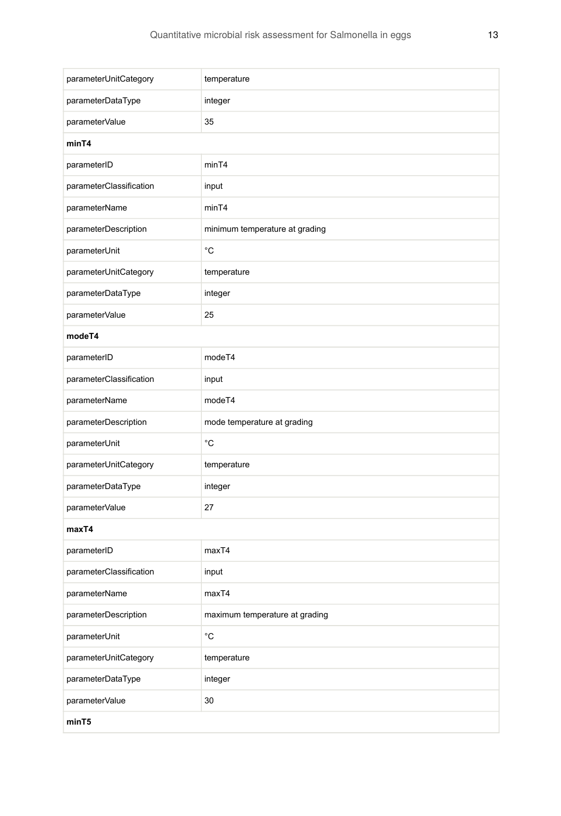| parameterUnitCategory   | temperature                    |  |
|-------------------------|--------------------------------|--|
| parameterDataType       | integer                        |  |
| parameterValue          | 35                             |  |
| minT4                   |                                |  |
| parameterID             | minT4                          |  |
| parameterClassification | input                          |  |
| parameterName           | minT4                          |  |
| parameterDescription    | minimum temperature at grading |  |
| parameterUnit           | °C                             |  |
| parameterUnitCategory   | temperature                    |  |
| parameterDataType       | integer                        |  |
| parameterValue          | 25                             |  |
| modeT4                  |                                |  |
| parameterID             | modeT4                         |  |
| parameterClassification | input                          |  |
| parameterName           | modeT4                         |  |
| parameterDescription    | mode temperature at grading    |  |
| parameterUnit           | °C                             |  |
| parameterUnitCategory   | temperature                    |  |
| parameterDataType       | integer                        |  |
| parameterValue          | 27                             |  |
| maxT4                   |                                |  |
| parameterID             | maxT4                          |  |
| parameterClassification | input                          |  |
| parameterName           | maxT4                          |  |
| parameterDescription    | maximum temperature at grading |  |
| parameterUnit           | $^{\circ}{\rm C}$              |  |
| parameterUnitCategory   | temperature                    |  |
| parameterDataType       | integer                        |  |
| parameterValue          | 30                             |  |
| minT5                   |                                |  |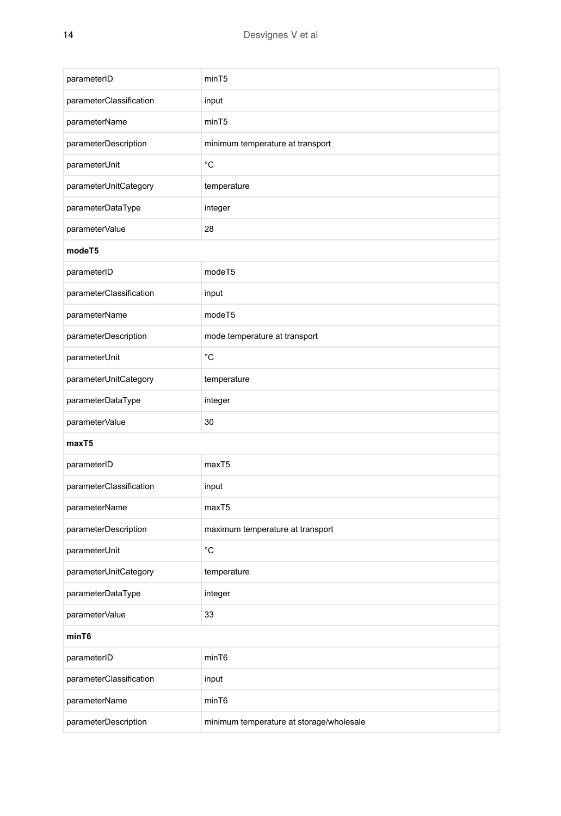| parameterID             | minT5                                    |
|-------------------------|------------------------------------------|
| parameterClassification | input                                    |
| parameterName           | minT5                                    |
| parameterDescription    | minimum temperature at transport         |
| parameterUnit           | °C                                       |
| parameterUnitCategory   | temperature                              |
| parameterDataType       | integer                                  |
| parameterValue          | 28                                       |
| modeT5                  |                                          |
| parameterID             | modeT5                                   |
| parameterClassification | input                                    |
| parameterName           | modeT5                                   |
| parameterDescription    | mode temperature at transport            |
| parameterUnit           | °C                                       |
| parameterUnitCategory   | temperature                              |
| parameterDataType       | integer                                  |
| parameterValue          | 30                                       |
| maxT5                   |                                          |
| parameterID             | maxT <sub>5</sub>                        |
| parameterClassification | input                                    |
| parameterName           | maxT <sub>5</sub>                        |
| parameterDescription    | maximum temperature at transport         |
| parameterUnit           | °C                                       |
| parameterUnitCategory   | temperature                              |
| parameterDataType       | integer                                  |
| parameterValue          | 33                                       |
| minT6                   |                                          |
| parameterID             | minT6                                    |
| parameterClassification | input                                    |
| parameterName           | minT6                                    |
| parameterDescription    | minimum temperature at storage/wholesale |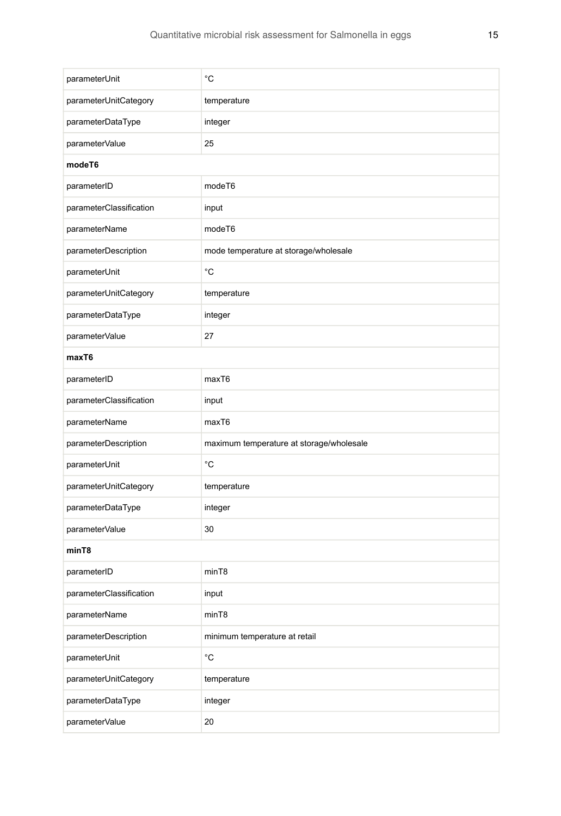| parameterUnit           | °C                                       |  |
|-------------------------|------------------------------------------|--|
| parameterUnitCategory   | temperature                              |  |
| parameterDataType       | integer                                  |  |
| parameterValue          | 25                                       |  |
| modeT6                  |                                          |  |
| parameterID             | modeT6                                   |  |
| parameterClassification | input                                    |  |
| parameterName           | modeT6                                   |  |
| parameterDescription    | mode temperature at storage/wholesale    |  |
| parameterUnit           | $^{\circ}{\rm C}$                        |  |
| parameterUnitCategory   | temperature                              |  |
| parameterDataType       | integer                                  |  |
| parameterValue          | 27                                       |  |
| maxT6                   |                                          |  |
| parameterID             | maxT6                                    |  |
| parameterClassification | input                                    |  |
| parameterName           | maxT6                                    |  |
| parameterDescription    | maximum temperature at storage/wholesale |  |
| parameterUnit           | °C                                       |  |
| parameterUnitCategory   | temperature                              |  |
| parameterDataType       | integer                                  |  |
| parameterValue          | 30                                       |  |
| minT8                   |                                          |  |
| parameterID             | minT8                                    |  |
| parameterClassification | input                                    |  |
| parameterName           | minT8                                    |  |
| parameterDescription    | minimum temperature at retail            |  |
| parameterUnit           | $^{\circ}$ C                             |  |
| parameterUnitCategory   | temperature                              |  |
| parameterDataType       | integer                                  |  |
| parameterValue          | 20                                       |  |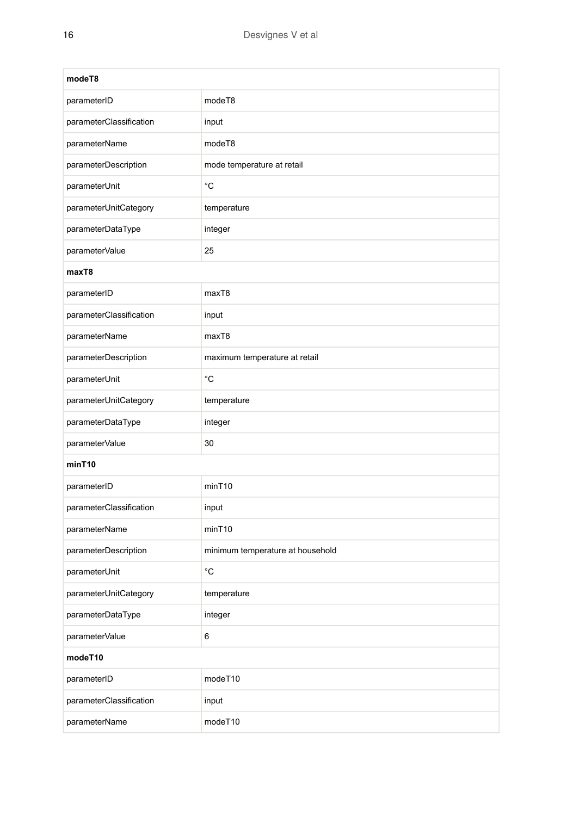| modeT8                  |                                  |  |
|-------------------------|----------------------------------|--|
| parameterID             | modeT8                           |  |
| parameterClassification | input                            |  |
| parameterName           | modeT8                           |  |
| parameterDescription    | mode temperature at retail       |  |
| parameterUnit           | °С                               |  |
| parameterUnitCategory   | temperature                      |  |
| parameterDataType       | integer                          |  |
| parameterValue          | 25                               |  |
| maxT8                   |                                  |  |
| parameterID             | maxT8                            |  |
| parameterClassification | input                            |  |
| parameterName           | maxT8                            |  |
| parameterDescription    | maximum temperature at retail    |  |
| parameterUnit           | °C                               |  |
| parameterUnitCategory   | temperature                      |  |
| parameterDataType       | integer                          |  |
| parameterValue          | 30                               |  |
| minT10                  |                                  |  |
| parameterID             | minT10                           |  |
| parameterClassification | input                            |  |
| parameterName           | minT10                           |  |
| parameterDescription    | minimum temperature at household |  |
| parameterUnit           | °C                               |  |
| parameterUnitCategory   | temperature                      |  |
| parameterDataType       | integer                          |  |
| parameterValue          | 6                                |  |
| modeT10                 |                                  |  |
| parameterID             | modeT10                          |  |
| parameterClassification | input                            |  |
| parameterName           | modeT10                          |  |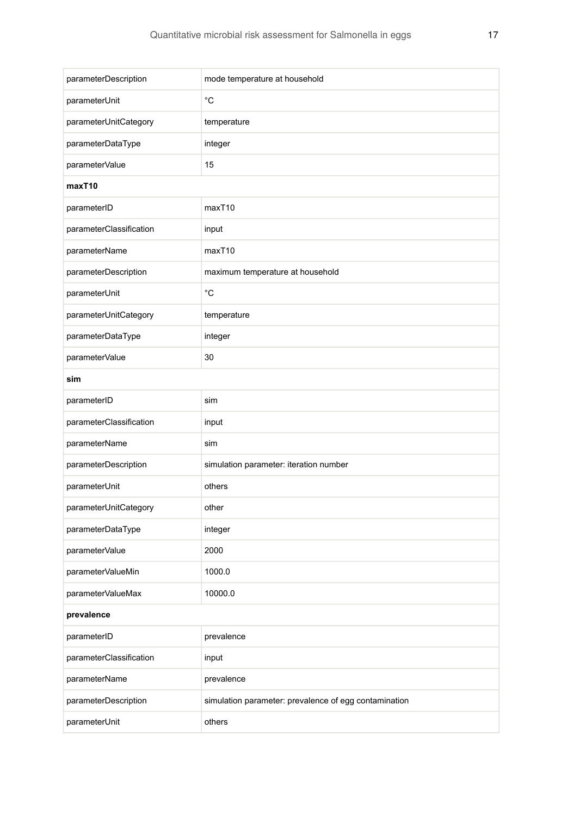| parameterDescription    | mode temperature at household                         |  |
|-------------------------|-------------------------------------------------------|--|
| parameterUnit           | °C                                                    |  |
| parameterUnitCategory   | temperature                                           |  |
| parameterDataType       | integer                                               |  |
| parameterValue          | 15                                                    |  |
| maxT10                  |                                                       |  |
| parameterID             | maxT10                                                |  |
| parameterClassification | input                                                 |  |
| parameterName           | maxT10                                                |  |
| parameterDescription    | maximum temperature at household                      |  |
| parameterUnit           | °C                                                    |  |
| parameterUnitCategory   | temperature                                           |  |
| parameterDataType       | integer                                               |  |
| parameterValue          | 30                                                    |  |
| sim                     |                                                       |  |
| parameterID             | sim                                                   |  |
| parameterClassification | input                                                 |  |
| parameterName           | sim                                                   |  |
| parameterDescription    | simulation parameter: iteration number                |  |
| parameterUnit           | others                                                |  |
| parameterUnitCategory   | other                                                 |  |
| parameterDataType       | integer                                               |  |
| parameterValue          | 2000                                                  |  |
| parameterValueMin       | 1000.0                                                |  |
| parameterValueMax       | 10000.0                                               |  |
| prevalence              |                                                       |  |
| parameterID             | prevalence                                            |  |
| parameterClassification | input                                                 |  |
| parameterName           | prevalence                                            |  |
| parameterDescription    | simulation parameter: prevalence of egg contamination |  |
| parameterUnit           | others                                                |  |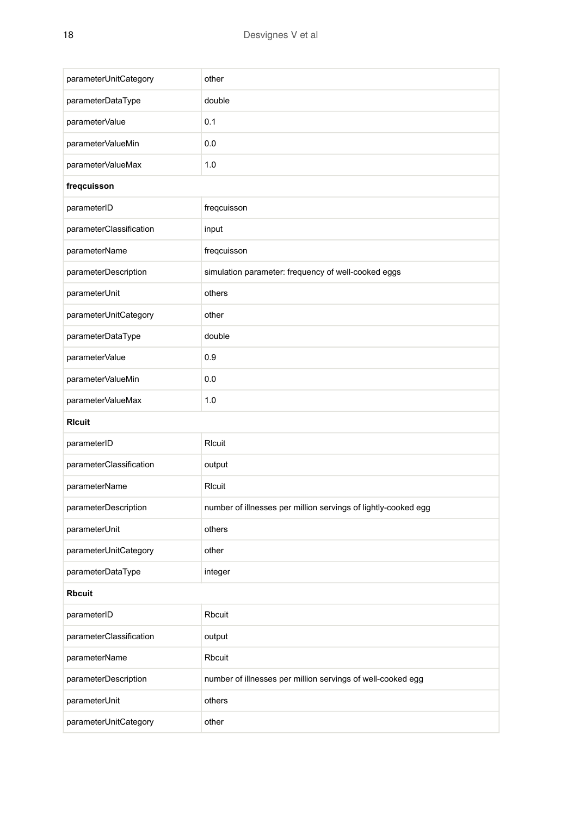| parameterUnitCategory   | other                                                          |  |
|-------------------------|----------------------------------------------------------------|--|
| parameterDataType       | double                                                         |  |
| parameterValue          | 0.1                                                            |  |
| parameterValueMin       | 0.0                                                            |  |
|                         | 1.0                                                            |  |
| parameterValueMax       |                                                                |  |
| freqcuisson             |                                                                |  |
| parameterID             | freqcuisson                                                    |  |
| parameterClassification | input                                                          |  |
| parameterName           | freqcuisson                                                    |  |
| parameterDescription    | simulation parameter: frequency of well-cooked eggs            |  |
| parameterUnit           | others                                                         |  |
| parameterUnitCategory   | other                                                          |  |
| parameterDataType       | double                                                         |  |
| parameterValue          | 0.9                                                            |  |
| parameterValueMin       | 0.0                                                            |  |
| parameterValueMax       | 1.0                                                            |  |
| <b>RIcuit</b>           |                                                                |  |
| parameterID             | Rlcuit                                                         |  |
| parameterClassification | output                                                         |  |
| parameterName           | RIcuit                                                         |  |
| parameterDescription    | number of illnesses per million servings of lightly-cooked egg |  |
| parameterUnit           | others                                                         |  |
| parameterUnitCategory   | other                                                          |  |
| parameterDataType       | integer                                                        |  |
| <b>Rbcuit</b>           |                                                                |  |
| parameterID             | Rbcuit                                                         |  |
| parameterClassification | output                                                         |  |
| parameterName           | Rbcuit                                                         |  |
| parameterDescription    | number of illnesses per million servings of well-cooked egg    |  |
| parameterUnit           | others                                                         |  |
| parameterUnitCategory   | other                                                          |  |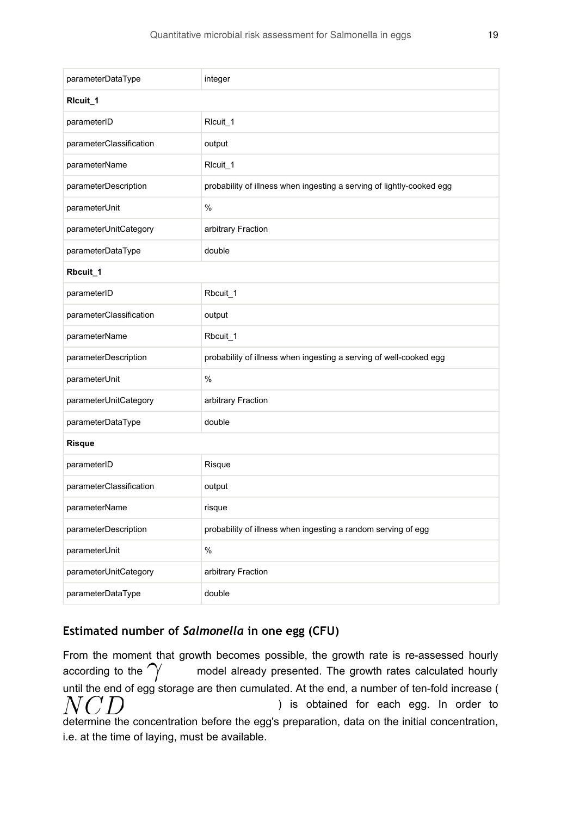| parameterDataType       | integer                                                               |  |
|-------------------------|-----------------------------------------------------------------------|--|
| Ricuit_1                |                                                                       |  |
| parameterID             | Rlcuit_1                                                              |  |
| parameterClassification | output                                                                |  |
| parameterName           | RIcuit_1                                                              |  |
| parameterDescription    | probability of illness when ingesting a serving of lightly-cooked egg |  |
| parameterUnit           | $\frac{0}{0}$                                                         |  |
| parameterUnitCategory   | arbitrary Fraction                                                    |  |
| parameterDataType       | double                                                                |  |
| Rbcuit_1                |                                                                       |  |
| parameterID             | Rbcuit 1                                                              |  |
| parameterClassification | output                                                                |  |
| parameterName           | Rbcuit_1                                                              |  |
| parameterDescription    | probability of illness when ingesting a serving of well-cooked egg    |  |
| parameterUnit           | %                                                                     |  |
| parameterUnitCategory   | arbitrary Fraction                                                    |  |
| parameterDataType       | double                                                                |  |
| Risque                  |                                                                       |  |
| parameterID             | Risque                                                                |  |
| parameterClassification | output                                                                |  |
| parameterName           | risque                                                                |  |
| parameterDescription    | probability of illness when ingesting a random serving of egg         |  |
| parameterUnit           | %                                                                     |  |
| parameterUnitCategory   | arbitrary Fraction                                                    |  |
| parameterDataType       | double                                                                |  |

# **Estimated number of** *Salmonella* **in one egg (CFU)**

From the moment that growth becomes possible, the growth rate is re-assessed hourly according to the  $\gamma$  model already presented. The growth rates calculated hourly until the end of egg storage are then cumulated. At the end, a number of ten-fold increase (  $NCD$ ) is obtained for each egg. In order to determine the concentration before the egg's preparation, data on the initial concentration, i.e. at the time of laying, must be available.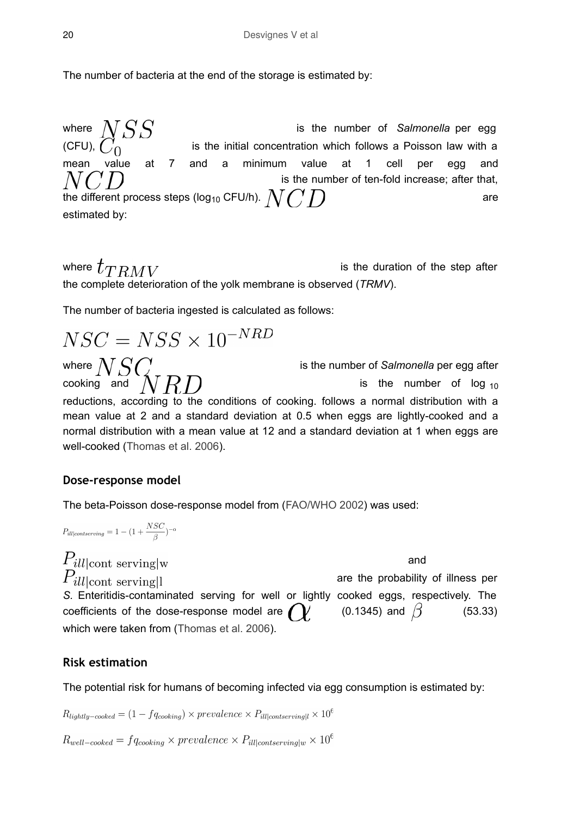The number of bacteria at the end of the storage is estimated by:

where  $NSS$  is the number of *Salmonella* per egg (CFU),  $C_0$  is the initial concentration which follows a Poisson law with a is the initial concentration which follows a Poisson law with a mean value at 7 and a minimum value at 1 cell per egg and is the number of ten-fold increase; after that, the different process steps (log<sub>10</sub> CFU/h).  $\bigwedge$  (  $\bigwedge$  )  $\bigwedge$ estimated by:

where  $t_{TRMV}$  is the duration of the step after the complete deterioration of the yolk membrane is observed (*TRMV*).

The number of bacteria ingested is calculated as follows:

$$
NSC = NSS \times 10^{-NRD}
$$
  
where 
$$
NSC
$$
  
where 
$$
NSC
$$
  
is the number of *Salmonella* per egg after  
cooking and by  
reductions, according to the conditions of cooking. follows a normal distribution with a  
mean value at 2 and a standard deviation at 0.5 when eggs are lightly-cooked and a  
normal distribution with a mean value at 12 and a standard deviation at 1 when eggs are  
well-cooked (Thomas et al. 2006).

### **Dose-response model**

The beta-Poisson dose-response model from ([FAO/WHO 2002](#page-23-11)) was used:

$$
P_{ill|contserving}=1-(1+\frac{NSC}{\beta})^{-\alpha}
$$

 $P_{ill|cont}$  serving w and  $P_{ill|cont}$  serving are the probability of illness per *S.* Enteritidis-contaminated serving for well or lightly cooked eggs, respectively. The coefficients of the dose-response model are  $\bigcirc$  (0.1345) and  $\beta$  (53.33) which were taken from ([Thomas et al. 2006](#page-23-6)).

### **Risk estimation**

The potential risk for humans of becoming infected via egg consumption is estimated by:

 $R_{lightly-cooked} = (1 - f q_{cooking}) \times prevalence \times P_{ill|contserving|l} \times 10^6$ 

 $R_{well-cooked} = f q_{cooling} \times prevalence \times P_{ill|contserving|w} \times 10^6$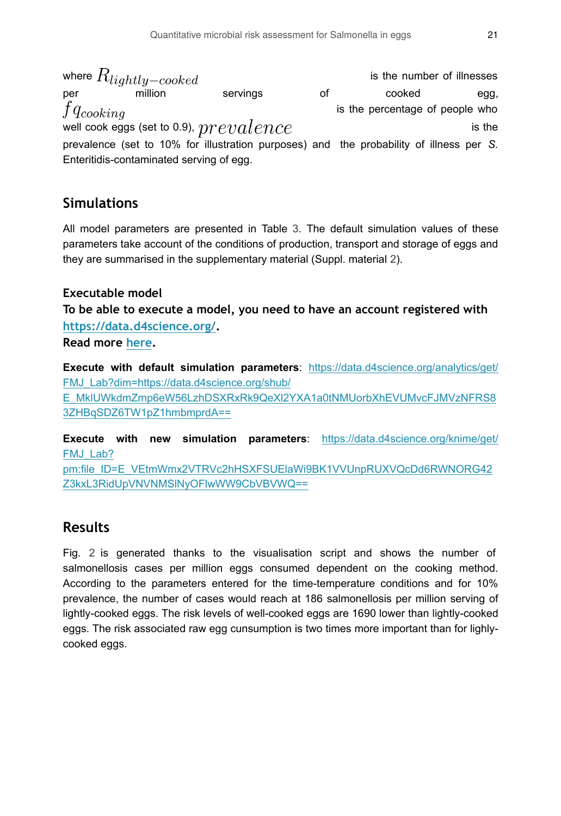where  $R_{liathu-cooked}$  is the number of illnesses per million servings of cooked egg,  $f q_{cooking}$  is the percentage of people who well cook eggs (set to 0.9),  $prevalence$  is the prevalence (set to 10% for illustration purposes) and the probability of illness per *S.* Enteritidis-contaminated serving of egg.

# **Simulations**

All model parameters are presented in Table [3.](#page-5-1) The default simulation values of these parameters take account of the conditions of production, transport and storage of eggs and they are summarised in the supplementary material (Suppl. material [2](#page-23-12)).

### **Executable model**

**To be able to execute a model, you need to have an account registered with [https://data.d4science.org/.](https://data.d4science.org/)**

**Read more [here.](https://fmj.pensoft.net/about#Executablemodels)** 

**Execute with default simulation parameters**: [https://data.d4science.org/analytics/get/](https://data.d4science.org/analytics/get/FMJ_Lab?dim=https://data.d4science.org/shub/E_MklUWkdmZmp6eW56LzhDSXRxRk9QeXl2YXA1a0tNMUorbXhEVUMvcFJMVzNFRS83ZHBqSDZ6TW1pZ1hmbmprdA==) [FMJ\\_Lab?dim=https://data.d4science.org/shub/](https://data.d4science.org/analytics/get/FMJ_Lab?dim=https://data.d4science.org/shub/E_MklUWkdmZmp6eW56LzhDSXRxRk9QeXl2YXA1a0tNMUorbXhEVUMvcFJMVzNFRS83ZHBqSDZ6TW1pZ1hmbmprdA==)

[E\\_MklUWkdmZmp6eW56LzhDSXRxRk9QeXl2YXA1a0tNMUorbXhEVUMvcFJMVzNFRS8](https://data.d4science.org/analytics/get/FMJ_Lab?dim=https://data.d4science.org/shub/E_MklUWkdmZmp6eW56LzhDSXRxRk9QeXl2YXA1a0tNMUorbXhEVUMvcFJMVzNFRS83ZHBqSDZ6TW1pZ1hmbmprdA==) [3ZHBqSDZ6TW1pZ1hmbmprdA==](https://data.d4science.org/analytics/get/FMJ_Lab?dim=https://data.d4science.org/shub/E_MklUWkdmZmp6eW56LzhDSXRxRk9QeXl2YXA1a0tNMUorbXhEVUMvcFJMVzNFRS83ZHBqSDZ6TW1pZ1hmbmprdA==)

**Execute with new simulation parameters**: [https://data.d4science.org/knime/get/](https://data.d4science.org/knime/get/FMJ_Lab?pm:file_ID=E_VEtmWmx2VTRVc2hHSXFSUElaWi9BK1VVUnpRUXVQcDd6RWNORG42Z3kxL3RidUpVNVNMSlNyOFlwWW9CbVBVWQ==) [FMJ\\_Lab?](https://data.d4science.org/knime/get/FMJ_Lab?pm:file_ID=E_VEtmWmx2VTRVc2hHSXFSUElaWi9BK1VVUnpRUXVQcDd6RWNORG42Z3kxL3RidUpVNVNMSlNyOFlwWW9CbVBVWQ==)

[pm:file\\_ID=E\\_VEtmWmx2VTRVc2hHSXFSUElaWi9BK1VVUnpRUXVQcDd6RWNORG42](https://data.d4science.org/knime/get/FMJ_Lab?pm:file_ID=E_VEtmWmx2VTRVc2hHSXFSUElaWi9BK1VVUnpRUXVQcDd6RWNORG42Z3kxL3RidUpVNVNMSlNyOFlwWW9CbVBVWQ==) [Z3kxL3RidUpVNVNMSlNyOFlwWW9CbVBVWQ==](https://data.d4science.org/knime/get/FMJ_Lab?pm:file_ID=E_VEtmWmx2VTRVc2hHSXFSUElaWi9BK1VVUnpRUXVQcDd6RWNORG42Z3kxL3RidUpVNVNMSlNyOFlwWW9CbVBVWQ==)

# **Results**

Fig. [2](#page-21-0) is generated thanks to the visualisation script and shows the number of salmonellosis cases per million eggs consumed dependent on the cooking method. According to the parameters entered for the time-temperature conditions and for 10% prevalence, the number of cases would reach at 186 salmonellosis per million serving of lightly-cooked eggs. The risk levels of well-cooked eggs are 1690 lower than lightly-cooked eggs. The risk associated raw egg cunsumption is two times more important than for lighlycooked eggs.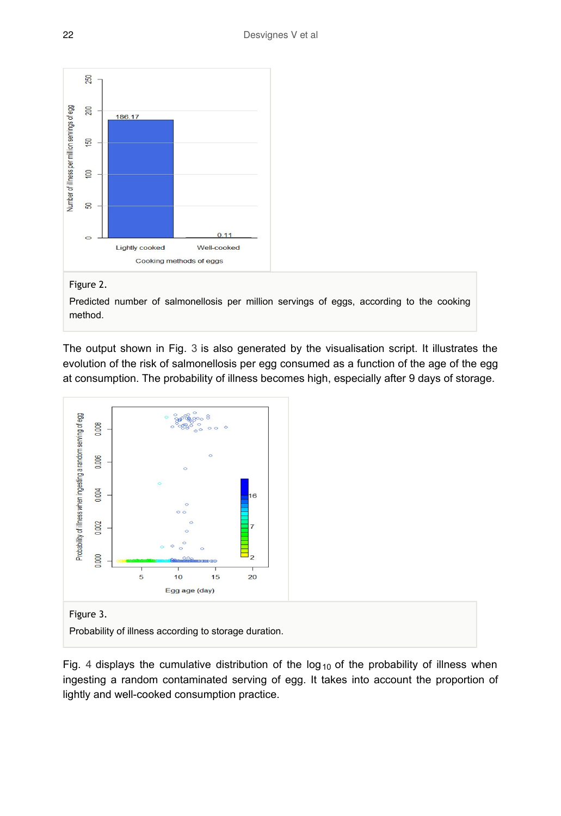<span id="page-21-0"></span>

#### Figure 2.

Predicted number of salmonellosis per million servings of eggs, according to the cooking method.

The output shown in Fig. [3](#page-21-1) is also generated by the visualisation script. It illustrates the evolution of the risk of salmonellosis per egg consumed as a function of the age of the egg at consumption. The probability of illness becomes high, especially after 9 days of storage.

<span id="page-21-1"></span>

#### Figure 3.

Probability of illness according to storage duration.

Fig. [4](#page-22-1) displays the cumulative distribution of the  $log_{10}$  of the probability of illness when ingesting a random contaminated serving of egg. It takes into account the proportion of lightly and well-cooked consumption practice.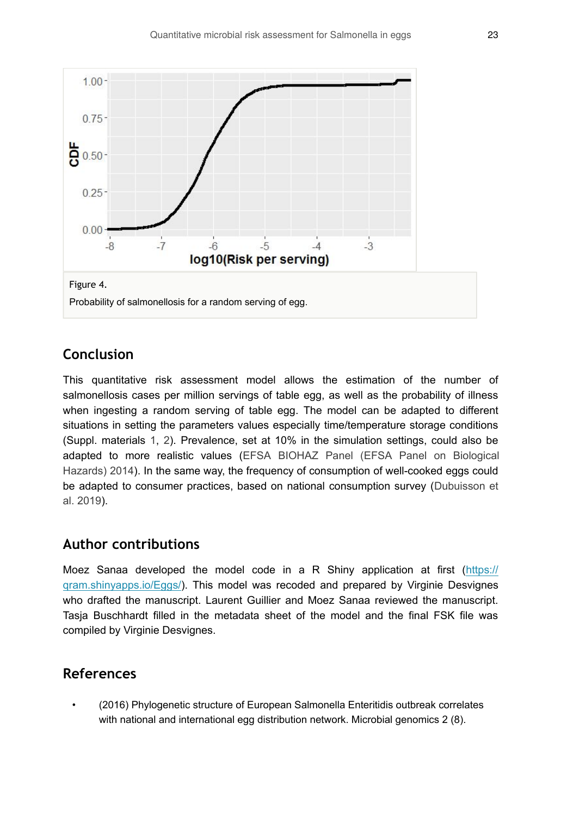<span id="page-22-1"></span>

# **Conclusion**

This quantitative risk assessment model allows the estimation of the number of salmonellosis cases per million servings of table egg, as well as the probability of illness when ingesting a random serving of table egg. The model can be adapted to different situations in setting the parameters values especially time/temperature storage conditions (Suppl. materials [1](#page-23-13), [2](#page-23-12)). Prevalence, set at 10% in the simulation settings, could also be adapted to more realistic values [\(EFSA BIOHAZ Panel \(EFSA Panel on Biological](#page-23-3) [Hazards\) 2014\)](#page-23-3). In the same way, the frequency of consumption of well-cooked eggs could be adapted to consumer practices, based on national consumption survey ([Dubuisson et](#page-23-14) [al. 2019](#page-23-14)).

## **Author contributions**

Moez Sanaa developed the model code in a R Shiny application at first [\(https://](https://qram.shinyapps.io/Eggs/) [qram.shinyapps.io/Eggs/\)](https://qram.shinyapps.io/Eggs/). This model was recoded and prepared by Virginie Desvignes who drafted the manuscript. Laurent Guillier and Moez Sanaa reviewed the manuscript. Tasja Buschhardt filled in the metadata sheet of the model and the final FSK file was compiled by Virginie Desvignes.

# **References**

<span id="page-22-0"></span>• (2016) Phylogenetic structure of European Salmonella Enteritidis outbreak correlates with national and international egg distribution network. Microbial genomics 2 (8).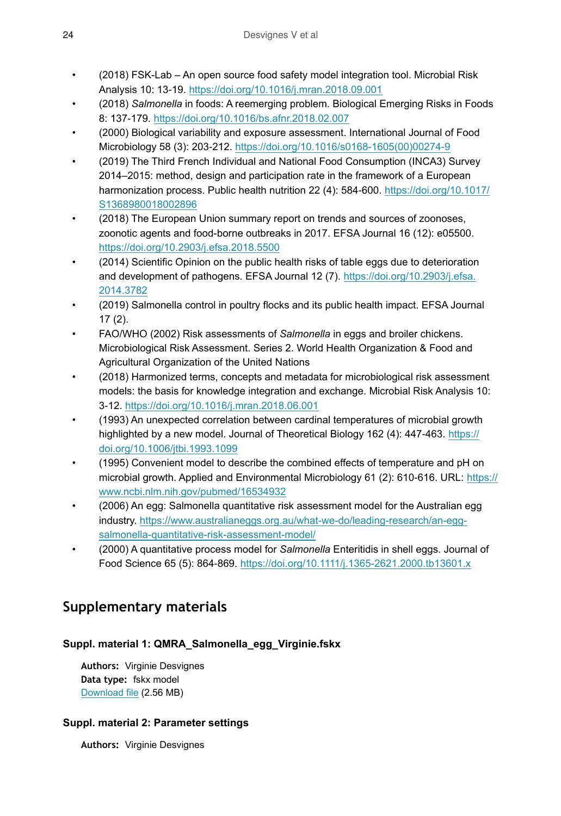- <span id="page-23-5"></span>• (2018) FSK-Lab – An open source food safety model integration tool. Microbial Risk Analysis 10: 13‑19. <https://doi.org/10.1016/j.mran.2018.09.001>
- <span id="page-23-2"></span>• (2018) *Salmonella* in foods: A reemerging problem. Biological Emerging Risks in Foods 8: 137‑179.<https://doi.org/10.1016/bs.afnr.2018.02.007>
- <span id="page-23-7"></span>• (2000) Biological variability and exposure assessment. International Journal of Food Microbiology 58 (3): 203‑212. [https://doi.org/10.1016/s0168-1605\(00\)00274-9](https://doi.org/10.1016/s0168-1605(00)00274-9)
- <span id="page-23-14"></span>• (2019) The Third French Individual and National Food Consumption (INCA3) Survey 2014–2015: method, design and participation rate in the framework of a European harmonization process. Public health nutrition 22 (4): 584-600. [https://doi.org/10.1017/](https://doi.org/10.1017/S1368980018002896) [S1368980018002896](https://doi.org/10.1017/S1368980018002896)
- <span id="page-23-0"></span>• (2018) The European Union summary report on trends and sources of zoonoses, zoonotic agents and food-borne outbreaks in 2017. EFSA Journal 16 (12): e05500. <https://doi.org/10.2903/j.efsa.2018.5500>
- <span id="page-23-3"></span>• (2014) Scientific Opinion on the public health risks of table eggs due to deterioration and development of pathogens. EFSA Journal 12 (7). [https://doi.org/10.2903/j.efsa.](https://doi.org/10.2903/j.efsa.2014.3782) [2014.3782](https://doi.org/10.2903/j.efsa.2014.3782)
- <span id="page-23-1"></span>• (2019) Salmonella control in poultry flocks and its public health impact. EFSA Journal 17 (2).
- <span id="page-23-11"></span>• FAO/WHO (2002) Risk assessments of *Salmonella* in eggs and broiler chickens. Microbiological Risk Assessment. Series 2. World Health Organization & Food and Agricultural Organization of the United Nations
- <span id="page-23-4"></span>• (2018) Harmonized terms, concepts and metadata for microbiological risk assessment models: the basis for knowledge integration and exchange. Microbial Risk Analysis 10: 3‑12.<https://doi.org/10.1016/j.mran.2018.06.001>
- <span id="page-23-8"></span>• (1993) An unexpected correlation between cardinal temperatures of microbial growth highlighted by a new model. Journal of Theoretical Biology 162 (4): 447-463. [https://](https://doi.org/10.1006/jtbi.1993.1099) [doi.org/10.1006/jtbi.1993.1099](https://doi.org/10.1006/jtbi.1993.1099)
- <span id="page-23-9"></span>• (1995) Convenient model to describe the combined effects of temperature and pH on microbial growth. Applied and Environmental Microbiology 61 (2): 610‑616. URL: [https://](https://www.ncbi.nlm.nih.gov/pubmed/16534932) [www.ncbi.nlm.nih.gov/pubmed/16534932](https://www.ncbi.nlm.nih.gov/pubmed/16534932)
- <span id="page-23-6"></span>• (2006) An egg: Salmonella quantitative risk assessment model for the Australian egg industry. [https://www.australianeggs.org.au/what-we-do/leading-research/an-egg](https://www.australianeggs.org.au/what-we-do/leading-research/an-egg-salmonella-quantitative-risk-assessment-model/)[salmonella-quantitative-risk-assessment-model/](https://www.australianeggs.org.au/what-we-do/leading-research/an-egg-salmonella-quantitative-risk-assessment-model/)
- <span id="page-23-10"></span>• (2000) A quantitative process model for *Salmonella* Enteritidis in shell eggs. Journal of Food Science 65 (5): 864‑869.<https://doi.org/10.1111/j.1365-2621.2000.tb13601.x>

# **Supplementary materials**

## <span id="page-23-13"></span>**Suppl. material 1: QMRA\_Salmonella\_egg\_Virginie.fskx**

**Authors:** Virginie Desvignes **Data type:** fskx model [Download file](https://arpha.pensoft.net/getfile.php?filename=oo_364124.fskx) (2.56 MB)

### <span id="page-23-12"></span>**Suppl. material 2: Parameter settings**

**Authors:** Virginie Desvignes